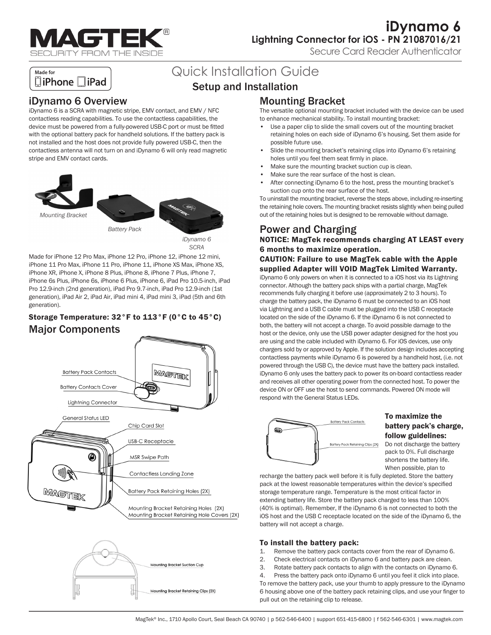

**iDynamo 6 Lightning Connector for iOS - PN 21087016/21**

Secure Card Reader Authenticator

### Made for □iPhone □iPad

# Quick Installation Guide

# Setup and Installation

### iDynamo 6 Overview

iDynamo 6 is a SCRA with magnetic stripe, EMV contact, and EMV / NFC contactless reading capabilities. To use the contactless capabilities, the device must be powered from a fully-powered USB-C port or must be fitted with the optional battery pack for handheld solutions. If the battery pack is not installed and the host does not provide fully powered USB-C, then the contactless antenna will not turn on and iDynamo 6 will only read magnetic stripe and EMV contact cards.



*SCRA*

Made for iPhone 12 Pro Max, iPhone 12 Pro, iPhone 12, iPhone 12 mini, iPhone 11 Pro Max, iPhone 11 Pro, iPhone 11, iPhone XS Max, iPhone XS, iPhone XR, iPhone X, iPhone 8 Plus, iPhone 8, iPhone 7 Plus, iPhone 7, iPhone 6s Plus, iPhone 6s, iPhone 6 Plus, iPhone 6, iPad Pro 10.5-inch, iPad Pro 12.9-inch (2nd generation), iPad Pro 9.7-inch, iPad Pro 12.9-inch (1st generation), iPad Air 2, iPad Air, iPad mini 4, iPad mini 3, iPad (5th and 6th generation).

### Storage Temperature: 32°F to 113°F (0°C to 45°C) Major Components



# Mounting Bracket

The versatile optional mounting bracket included with the device can be used to enhance mechanical stability. To install mounting bracket:

- Use a paper clip to slide the small covers out of the mounting bracket retaining holes on each side of iDynamo 6's housing. Set them aside for possible future use.
- Slide the mounting bracket's retaining clips into iDynamo 6's retaining holes until you feel them seat firmly in place.
- Make sure the mounting bracket suction cup is clean.
- Make sure the rear surface of the host is clean.
- After connecting iDynamo 6 to the host, press the mounting bracket's suction cup onto the rear surface of the host.

To uninstall the mounting bracket, reverse the steps above, including re-inserting the retaining hole covers. The mounting bracket resists slightly when being pulled out of the retaining holes but is designed to be removable without damage.

## Power and Charging

NOTICE: MagTek recommends charging AT LEAST every 6 months to maximize operation.

#### CAUTION: Failure to use MagTek cable with the Apple supplied Adapter will VOID MagTek Limited Warranty.

iDynamo 6 only powers on when it is connected to a iOS host via its Lightning connector. Although the battery pack ships with a partial charge, MagTek recommends fully charging it before use (approximately 2 to 3 hours). To charge the battery pack, the iDynamo 6 must be connected to an iOS host via Lightning and a USB C cable must be plugged into the USB C receptacle located on the side of the iDynamo 6. If the iDynamo 6 is not connected to both, the battery will not accept a charge. To avoid possible damage to the host or the device, only use the USB power adapter designed for the host you are using and the cable included with iDynamo 6. For iOS devices, use only chargers sold by or approved by Apple. If the solution design includes accepting contactless payments while iDynamo 6 is powered by a handheld host, (i.e. not powered through the USB C), the device must have the battery pack installed. iDynamo 6 only uses the battery pack to power its on-board contactless reader and receives all other operating power from the connected host. To power the device ON or OFF use the host to send commands. Powered ON mode will respond with the General Status LEDs.



#### To maximize the battery pack's charge, follow guidelines:

Do not discharge the battery pack to 0%. Full discharge shortens the battery life. When possible, plan to

recharge the battery pack well before it is fully depleted. Store the battery pack at the lowest reasonable temperatures within the device's specified storage temperature range. Temperature is the most critical factor in extending battery life. Store the battery pack charged to less than 100% (40% is optimal). Remember, If the iDynamo 6 is not connected to both the iOS host and the USB C receptacle located on the side of the iDynamo 6, the battery will not accept a charge.

#### To install the battery pack:

- 1. Remove the battery pack contacts cover from the rear of iDynamo 6.
- 2. Check electrical contacts on iDynamo 6 and battery pack are clean.
- 3. Rotate battery pack contacts to align with the contacts on iDynamo 6.

4. Press the battery pack onto iDynamo 6 until you feel it click into place. To remove the battery pack, use your thumb to apply pressure to the iDynamo 6 housing above one of the battery pack retaining clips, and use your finger to pull out on the retaining clip to release.